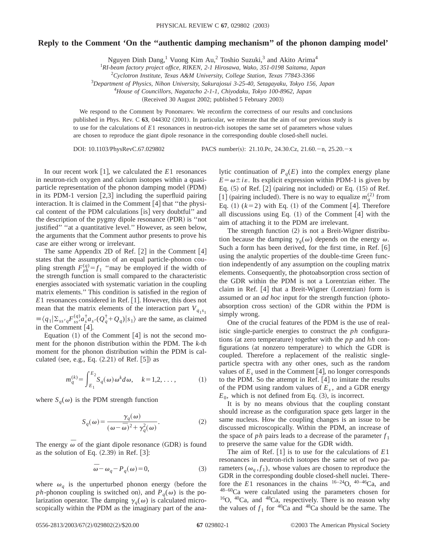## **Reply to the Comment 'On the ''authentic damping mechanism'' of the phonon damping model'**

Nguyen Dinh Dang,<sup>1</sup> Vuong Kim Au,<sup>2</sup> Toshio Suzuki,<sup>3</sup> and Akito Arima<sup>4</sup>

1 *RI-beam factory project office, RIKEN, 2-1 Hirosawa, Wako, 351-0198 Saitama, Japan*

2 *Cyclotron Institute, Texas A&M University, College Station, Texas 77843-3366*

3 *Department of Physics, Nihon University, Sakurajosui 3-25-40, Setagayaku, Tokyo 156, Japan*

4 *House of Councillors, Nagatacho 2-1-1, Chiyodaku, Tokyo 100-8962, Japan*

(Received 30 August 2002; published 5 February 2003)

We respond to the Comment by Ponomarev. We reconfirm the correctness of our results and conclusions published in Phys. Rev. C 63, 044302 (2001). In particular, we reiterate that the aim of our previous study is to use for the calculations of *E*1 resonances in neutron-rich isotopes the same set of parameters whose values are chosen to reproduce the giant dipole resonance in the corresponding double closed-shell nuclei.

DOI: 10.1103/PhysRevC.67.029802 PACS number(s): 21.10.Pc, 24.30.Cz, 21.60. - n, 25.20. - x

In our recent work  $\lceil 1 \rceil$ , we calculated the *E*1 resonances in neutron-rich oxygen and calcium isotopes within a quasiparticle representation of the phonon damping model (PDM) in its PDM-1 version  $[2,3]$  including the superfluid pairing interaction. It is claimed in the Comment  $[4]$  that "the physical content of the PDM calculations [is] very doubtful" and the description of the pygmy dipole resonance  $(PDR)$  is "not justified'' ''at a quantitative level.'' However, as seen below, the arguments that the Comment author presents to prove his case are either wrong or irrelevant.

The same Appendix 2D of Ref.  $[2]$  in the Comment  $[4]$ states that the assumption of an equal particle-phonon coupling strength  $F_{ph}^{(q)} = f_1$  "may be employed if the width of the strength function is small compared to the characteristic energies associated with systematic variation in the coupling matrix elements.'' This condition is satisfied in the region of *E*1 resonances considered in Ref. [1]. However, this does not mean that the matrix elements of the interaction part  $V_{q_1s_1}$  $\equiv \langle q_1 | \sum_{s} s q F_{ss}^{(q)} a_s^{\dagger} a_s (Q_q^{\dagger} + Q_q) | s_1 \rangle$  are the same, as claimed in the Comment  $[4]$ .

Equation  $(1)$  of the Comment  $[4]$  is not the second moment for the phonon distribution within the PDM. The *k*-th moment for the phonon distribution within the PDM is calculated (see, e.g., Eq.  $(2.21)$  of Ref.  $[5]$ ) as

$$
m_q^{(k)} = \int_{E_1}^{E_2} S_q(\omega) \, \omega^k d\omega, \quad k = 1, 2, \dots, \tag{1}
$$

where  $S_q(\omega)$  is the PDM strength function

$$
S_q(\omega) = \frac{\gamma_q(\omega)}{(\omega - \bar{\omega})^2 + \gamma_q^2(\omega)}.
$$
 (2)

The energy  $\overline{\omega}$  of the giant dipole resonance (GDR) is found as the solution of Eq.  $(2.39)$  in Ref.  $[3]$ :

$$
\overline{\omega} - \omega_q - P_q(\omega) = 0,\tag{3}
$$

where  $\omega_a$  is the unperturbed phonon energy (before the *ph*-phonon coupling is switched on), and  $P_q(\omega)$  is the polarization operator. The damping  $\gamma_q(\omega)$  is calculated microscopically within the PDM as the imaginary part of the analytic continuation of  $P_q(E)$  into the complex energy plane  $E = \omega \pm i\varepsilon$ . Its explicit expression within PDM-1 is given by Eq.  $(5)$  of Ref.  $[2]$  (pairing not included) or Eq.  $(15)$  of Ref. [1] (pairing included). There is no way to equalize  $m_q^{(2)}$  from Eq.  $(1)$   $(k=2)$  with Eq.  $(1)$  of the Comment  $[4]$ . Therefore all discussions using Eq.  $(1)$  of the Comment  $[4]$  with the aim of attaching it to the PDM are irrelevant.

The strength function  $(2)$  is not a Breit-Wigner distribution because the damping  $\gamma_q(\omega)$  depends on the energy  $\omega$ . Such a form has been derived, for the first time, in Ref.  $[6]$ using the analytic properties of the double-time Green function independently of any assumption on the coupling matrix elements. Consequently, the photoabsorption cross section of the GDR within the PDM is not a Lorentzian either. The claim in Ref.  $[4]$  that a Breit-Wigner (Lorentzian) form is assumed or an *ad hoc* input for the strength function (photoabsorption cross section) of the GDR within the PDM is simply wrong.

One of the crucial features of the PDM is the use of realistic single-particle energies to construct the *ph* configurations (at zero temperature) together with the  $pp$  and  $hh$  configurations (at nonzero temperature) to which the GDR is coupled. Therefore a replacement of the realistic singleparticle spectra with any other ones, such as the random values of  $E_s$  used in the Comment [4], no longer corresponds to the PDM. So the attempt in Ref.  $[4]$  to imitate the results of the PDM using random values of  $E_s$ , and a GDR energy  $E_0$ , which is not defined from Eq.  $(3)$ , is incorrect.

It is by no means obvious that the coupling constant should increase as the configuration space gets larger in the same nucleus. How the coupling changes is an issue to be discussed microscopically. Within the PDM, an increase of the space of *ph* pairs leads to a decrease of the parameter  $f_1$ to preserve the same value for the GDR width.

The aim of Ref.  $\lceil 1 \rceil$  is to use for the calculations of  $E1$ resonances in neutron-rich isotopes the same set of two parameters  $(\omega_a, f_1)$ , whose values are chosen to reproduce the GDR in the corresponding double closed-shell nuclei. Therefore the  $E1$  resonances in the chains  $16-24$ O,  $40-46$ Ca, and  $48-60$ Ca were calculated using the parameters chosen for  $16$ O,  $40$ Ca, and  $48$ Ca, respectively. There is no reason why the values of  $f_1$  for  $\frac{40}{2}$  ca and  $\frac{48}{2}$  ca should be the same. The